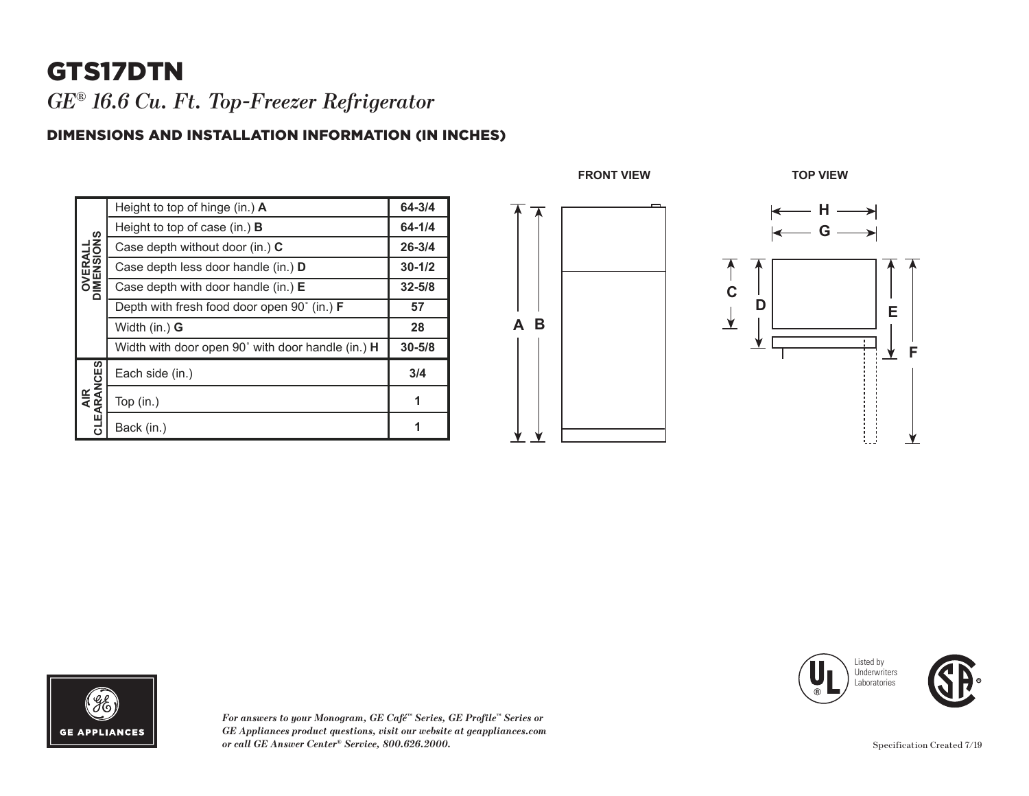# GTS17DTN

*GE® 16.6 Cu. Ft. Top-Freezer Refrigerator* 

#### DIMENSIONS AND INSTALLATION INFORMATION (IN INCHES)

| <b>OVERALL</b><br>DIMENSIONS | Height to top of hinge (in.) $\bm{A}$                       | 64-3/4     |
|------------------------------|-------------------------------------------------------------|------------|
|                              | Height to top of case (in.) $\bf{B}$                        | 64-1/4     |
|                              | Case depth without door (in.) C                             | $26 - 3/4$ |
|                              | Case depth less door handle (in.) <b>D</b>                  | $30 - 1/2$ |
|                              | Case depth with door handle (in.) $E$                       | $32 - 5/8$ |
|                              | Depth with fresh food door open $90^{\circ}$ (in.) <b>F</b> | 57         |
|                              | Width $(in.)$ G                                             | 28         |
|                              | Width with door open 90° with door handle (in.) H           | $30 - 5/8$ |
| EARANCES<br><b>AIR</b><br>ಕ  | Each side (in.)                                             | 3/4        |
|                              | Top $(in.)$                                                 | 1          |
|                              | Back (in.)                                                  |            |





*For answers to your Monogram, GE Café™ Series, GE Profile™ Series or GE Appliances product questions, visit our website at geappliances.com or call GE Answer Center® Service, 800.626.2000.*